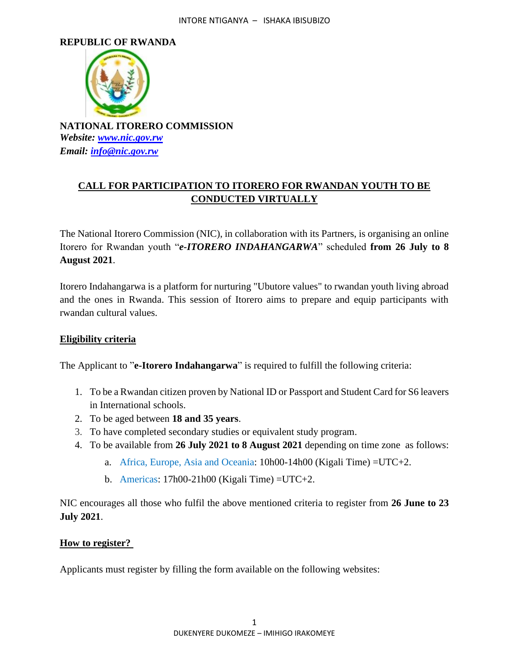#### **REPUBLIC OF RWANDA**



**NATIONAL ITORERO COMMISSION** *Website: [www.nic.gov.rw](http://www.nic.gov.rw/) Email: [info@nic.gov.rw](mailto:info@nic.gov.rw)*

# **CALL FOR PARTICIPATION TO ITORERO FOR RWANDAN YOUTH TO BE CONDUCTED VIRTUALLY**

The National Itorero Commission (NIC), in collaboration with its Partners, is organising an online Itorero for Rwandan youth "*e-ITORERO INDAHANGARWA*" scheduled **from 26 July to 8 August 2021**.

Itorero Indahangarwa is a platform for nurturing "Ubutore values" to rwandan youth living abroad and the ones in Rwanda. This session of Itorero aims to prepare and equip participants with rwandan cultural values.

## **Eligibility criteria**

The Applicant to "**e-Itorero Indahangarwa**" is required to fulfill the following criteria:

- 1. To be a Rwandan citizen proven by National ID or Passport and Student Card for S6 leavers in International schools.
- 2. To be aged between **18 and 35 years**.
- 3. To have completed secondary studies or equivalent study program.
- 4. To be available from **26 July 2021 to 8 August 2021** depending on time zone as follows:
	- a. Africa, Europe, Asia and Oceania: 10h00-14h00 (Kigali Time) =UTC+2.
	- b. Americas:  $17h00-21h00$  (Kigali Time) = UTC+2.

NIC encourages all those who fulfil the above mentioned criteria to register from **26 June to 23 July 2021**.

## **How to register?**

Applicants must register by filling the form available on the following websites: